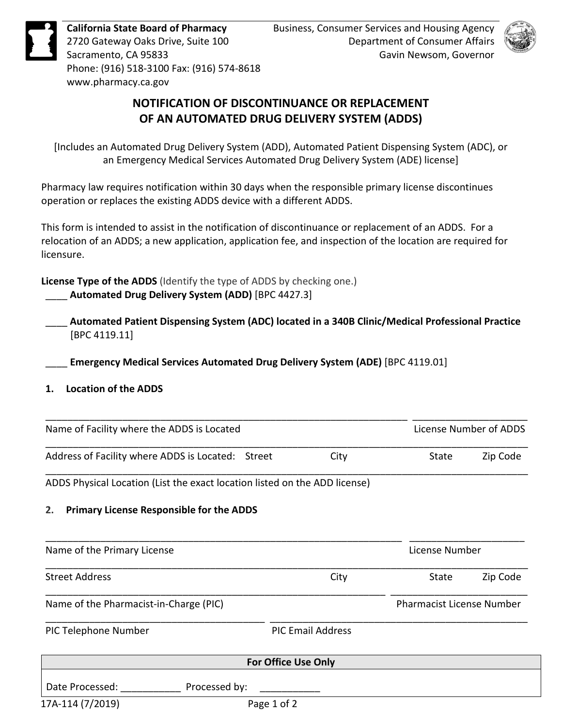



## **NOTIFICATION OF DISCONTINUANCE OR REPLACEMENT NOTIFICATION OF DISCONTINUANCE OR REPLACEMENT OF AN AUTOMATED DRUG DELIVERY SYSTEM (ADDS)**

## **1. Location of the ADDS**

|            |                                                                                                                                                                                                                                   | Page 1 of 2                |                                                                                                            |          |
|------------|-----------------------------------------------------------------------------------------------------------------------------------------------------------------------------------------------------------------------------------|----------------------------|------------------------------------------------------------------------------------------------------------|----------|
|            | Date Processed:<br>Processed by:                                                                                                                                                                                                  |                            |                                                                                                            |          |
|            |                                                                                                                                                                                                                                   | <b>For Office Use Only</b> |                                                                                                            |          |
|            | PIC Telephone Number                                                                                                                                                                                                              | <b>PIC Email Address</b>   |                                                                                                            |          |
|            | Name of the Pharmacist-in-Charge (PIC)                                                                                                                                                                                            |                            | <b>Pharmacist License Number</b>                                                                           |          |
|            | <b>Street Address</b>                                                                                                                                                                                                             | City                       | State                                                                                                      | Zip Code |
|            | Name of the Primary License                                                                                                                                                                                                       |                            | License Number                                                                                             |          |
| 2.         | <b>Primary License Responsible for the ADDS</b>                                                                                                                                                                                   |                            |                                                                                                            |          |
|            | ADDS Physical Location (List the exact location listed on the ADD license)                                                                                                                                                        |                            |                                                                                                            |          |
|            | Address of Facility where ADDS is Located: Street                                                                                                                                                                                 | City                       | State                                                                                                      | Zip Code |
|            | Name of Facility where the ADDS is Located                                                                                                                                                                                        |                            | License Number of ADDS                                                                                     |          |
| 1.         | Automated Patient Dispensing System (ADC) located in a 340B Clinic/Medical Professional Practice<br>[BPC 4119.11]<br>Emergency Medical Services Automated Drug Delivery System (ADE) [BPC 4119.01]<br><b>Location of the ADDS</b> |                            |                                                                                                            |          |
|            | License Type of the ADDS (Identify the type of ADDS by checking one.)<br>Automated Drug Delivery System (ADD) [BPC 4427.3]                                                                                                        |                            |                                                                                                            |          |
| licensure. | This form is intended to assist in the notification of discontinuance or replacement of an ADDS. For a<br>relocation of an ADDS; a new application, application fee, and inspection of the location are required for              |                            |                                                                                                            |          |
|            | Pharmacy law requires notification within 30 days when the responsible primary license discontinues<br>operation or replaces the existing ADDS device with a different ADDS.                                                      |                            |                                                                                                            |          |
|            | [Includes an Automated Drug Delivery System (ADD), Automated Patient Dispensing System (ADC), or<br>an Emergency Medical Services Automated Drug Delivery System (ADE) license]                                                   |                            |                                                                                                            |          |
|            | NOTIFICATION OF DISCONTINUANCE OR REPLACEMENT<br>OF AN AUTOMATED DRUG DELIVERY SYSTEM (ADDS)                                                                                                                                      |                            |                                                                                                            |          |
|            | Phone: (916) 518-3100 Fax: (916) 574-8618<br>www.pharmacy.ca.gov                                                                                                                                                                  |                            |                                                                                                            |          |
|            | <b>California State Board of Pharmacy</b><br>2720 Gateway Oaks Drive, Suite 100<br>Sacramento, CA 95833                                                                                                                           |                            | Business, Consumer Services and Housing Agency<br>Department of Consumer Affairs<br>Gavin Newsom, Governor |          |